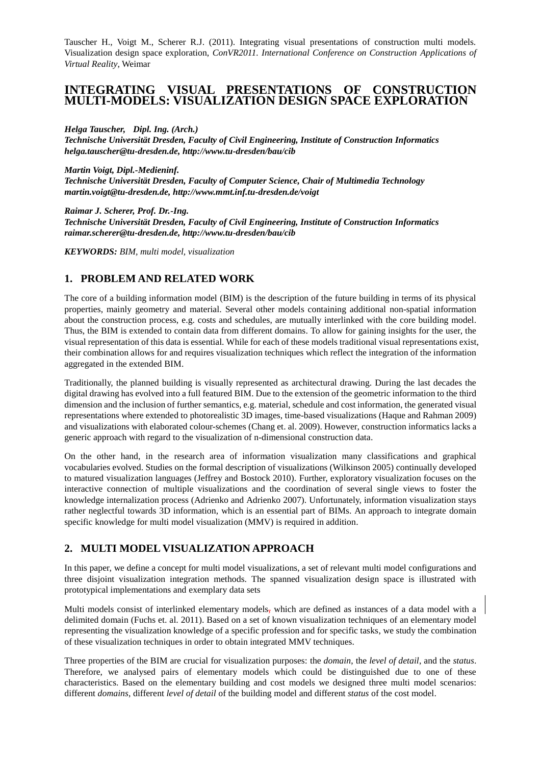Tauscher H., Voigt M., Scherer R.J. (2011). Integrating visual presentations of construction multi models. Visualization design space exploration, *ConVR2011. International Conference on Construction Applications of Virtual Reality*, Weimar

# **INTEGRATING VISUAL PRESENTATIONS OF CONSTRUCTION MULTI-MODELS: VISUALIZATION DESIGN SPACE EXPLORATION**

*Helga Tauscher, Dipl. Ing. (Arch.)*

*Technische Universität Dresden, Faculty of Civil Engineering, Institute of Construction Informatics helga.tauscher@tu-dresden.de, http://www.tu-dresden/bau/cib*

*Martin Voigt, Dipl.-Medieninf.*

*Technische Universität Dresden, Faculty of Computer Science, Chair of Multimedia Technology martin.voigt@tu-dresden.de, http://www.mmt.inf.tu-dresden.de/voigt*

*Raimar J. Scherer, Prof. Dr.-Ing.*

*Technische Universität Dresden, Faculty of Civil Engineering, Institute of Construction Informatics raimar.scherer@tu-dresden.de, http://www.tu-dresden/bau/cib*

*KEYWORDS: BIM, multi model, visualization*

### **1. PROBLEM AND RELATED WORK**

The core of a building information model (BIM) is the description of the future building in terms of its physical properties, mainly geometry and material. Several other models containing additional non-spatial information about the construction process, e.g. costs and schedules, are mutually interlinked with the core building model. Thus, the BIM is extended to contain data from different domains. To allow for gaining insights for the user, the visual representation of this data is essential. While for each of these models traditional visual representations exist, their combination allows for and requires visualization techniques which reflect the integration of the information aggregated in the extended BIM.

Traditionally, the planned building is visually represented as architectural drawing. During the last decades the digital drawing has evolved into a full featured BIM. Due to the extension of the geometric information to the third dimension and the inclusion of further semantics, e.g. material, schedule and cost information, the generated visual representations where extended to photorealistic 3D images, time-based visualizations (Haque and Rahman 2009) and visualizations with elaborated colour-schemes (Chang et. al. 2009). However, construction informatics lacks a generic approach with regard to the visualization of n-dimensional construction data.

On the other hand, in the research area of information visualization many classifications and graphical vocabularies evolved. Studies on the formal description of visualizations (Wilkinson 2005) continually developed to matured visualization languages (Jeffrey and Bostock 2010). Further, exploratory visualization focuses on the interactive connection of multiple visualizations and the coordination of several single views to foster the knowledge internalization process (Adrienko and Adrienko 2007). Unfortunately, information visualization stays rather neglectful towards 3D information, which is an essential part of BIMs. An approach to integrate domain specific knowledge for multi model visualization (MMV) is required in addition.

## **2. MULTI MODEL VISUALIZATION APPROACH**

In this paper, we define a concept for multi model visualizations, a set of relevant multi model configurations and three disjoint visualization integration methods. The spanned visualization design space is illustrated with prototypical implementations and exemplary data sets

Multi models consist of interlinked elementary models, which are defined as instances of a data model with a delimited domain (Fuchs et. al. 2011). Based on a set of known visualization techniques of an elementary model representing the visualization knowledge of a specific profession and for specific tasks, we study the combination of these visualization techniques in order to obtain integrated MMV techniques.

Three properties of the BIM are crucial for visualization purposes: the *domain*, the *level of detail*, and the *status*. Therefore, we analysed pairs of elementary models which could be distinguished due to one of these characteristics. Based on the elementary building and cost models we designed three multi model scenarios: different *domains*, different *level of detail* of the building model and different *status* of the cost model.